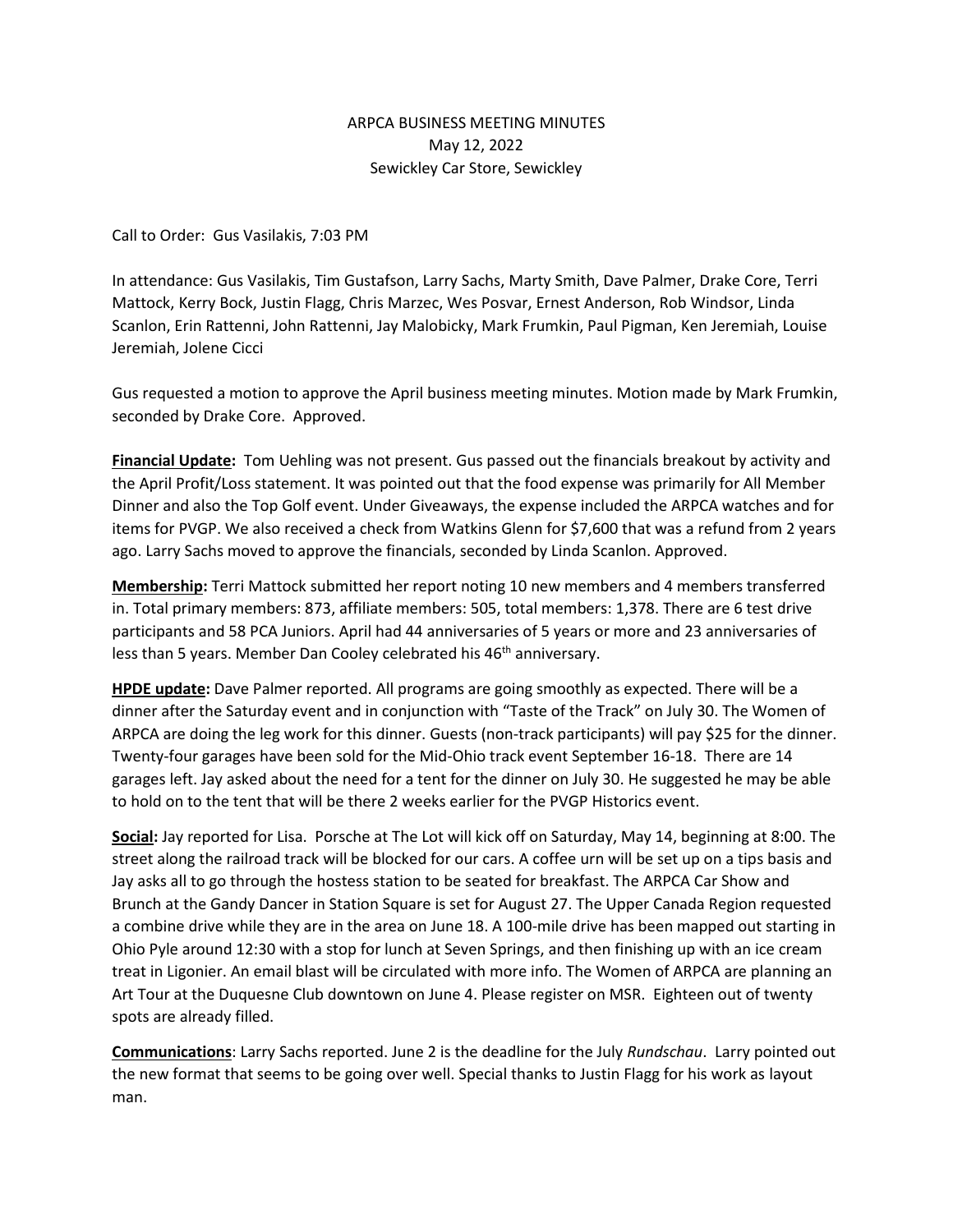## ARPCA BUSINESS MEETING MINUTES May 12, 2022 Sewickley Car Store, Sewickley

Call to Order: Gus Vasilakis, 7:03 PM

In attendance: Gus Vasilakis, Tim Gustafson, Larry Sachs, Marty Smith, Dave Palmer, Drake Core, Terri Mattock, Kerry Bock, Justin Flagg, Chris Marzec, Wes Posvar, Ernest Anderson, Rob Windsor, Linda Scanlon, Erin Rattenni, John Rattenni, Jay Malobicky, Mark Frumkin, Paul Pigman, Ken Jeremiah, Louise Jeremiah, Jolene Cicci

Gus requested a motion to approve the April business meeting minutes. Motion made by Mark Frumkin, seconded by Drake Core. Approved.

**Financial Update:** Tom Uehling was not present. Gus passed out the financials breakout by activity and the April Profit/Loss statement. It was pointed out that the food expense was primarily for All Member Dinner and also the Top Golf event. Under Giveaways, the expense included the ARPCA watches and for items for PVGP. We also received a check from Watkins Glenn for \$7,600 that was a refund from 2 years ago. Larry Sachs moved to approve the financials, seconded by Linda Scanlon. Approved.

**Membership:** Terri Mattock submitted her report noting 10 new members and 4 members transferred in. Total primary members: 873, affiliate members: 505, total members: 1,378. There are 6 test drive participants and 58 PCA Juniors. April had 44 anniversaries of 5 years or more and 23 anniversaries of less than 5 years. Member Dan Cooley celebrated his 46<sup>th</sup> anniversary.

**HPDE update:** Dave Palmer reported. All programs are going smoothly as expected. There will be a dinner after the Saturday event and in conjunction with "Taste of the Track" on July 30. The Women of ARPCA are doing the leg work for this dinner. Guests (non-track participants) will pay \$25 for the dinner. Twenty-four garages have been sold for the Mid-Ohio track event September 16-18. There are 14 garages left. Jay asked about the need for a tent for the dinner on July 30. He suggested he may be able to hold on to the tent that will be there 2 weeks earlier for the PVGP Historics event.

**Social:** Jay reported for Lisa. Porsche at The Lot will kick off on Saturday, May 14, beginning at 8:00. The street along the railroad track will be blocked for our cars. A coffee urn will be set up on a tips basis and Jay asks all to go through the hostess station to be seated for breakfast. The ARPCA Car Show and Brunch at the Gandy Dancer in Station Square is set for August 27. The Upper Canada Region requested a combine drive while they are in the area on June 18. A 100-mile drive has been mapped out starting in Ohio Pyle around 12:30 with a stop for lunch at Seven Springs, and then finishing up with an ice cream treat in Ligonier. An email blast will be circulated with more info. The Women of ARPCA are planning an Art Tour at the Duquesne Club downtown on June 4. Please register on MSR. Eighteen out of twenty spots are already filled.

**Communications**: Larry Sachs reported. June 2 is the deadline for the July *Rundschau*. Larry pointed out the new format that seems to be going over well. Special thanks to Justin Flagg for his work as layout man.